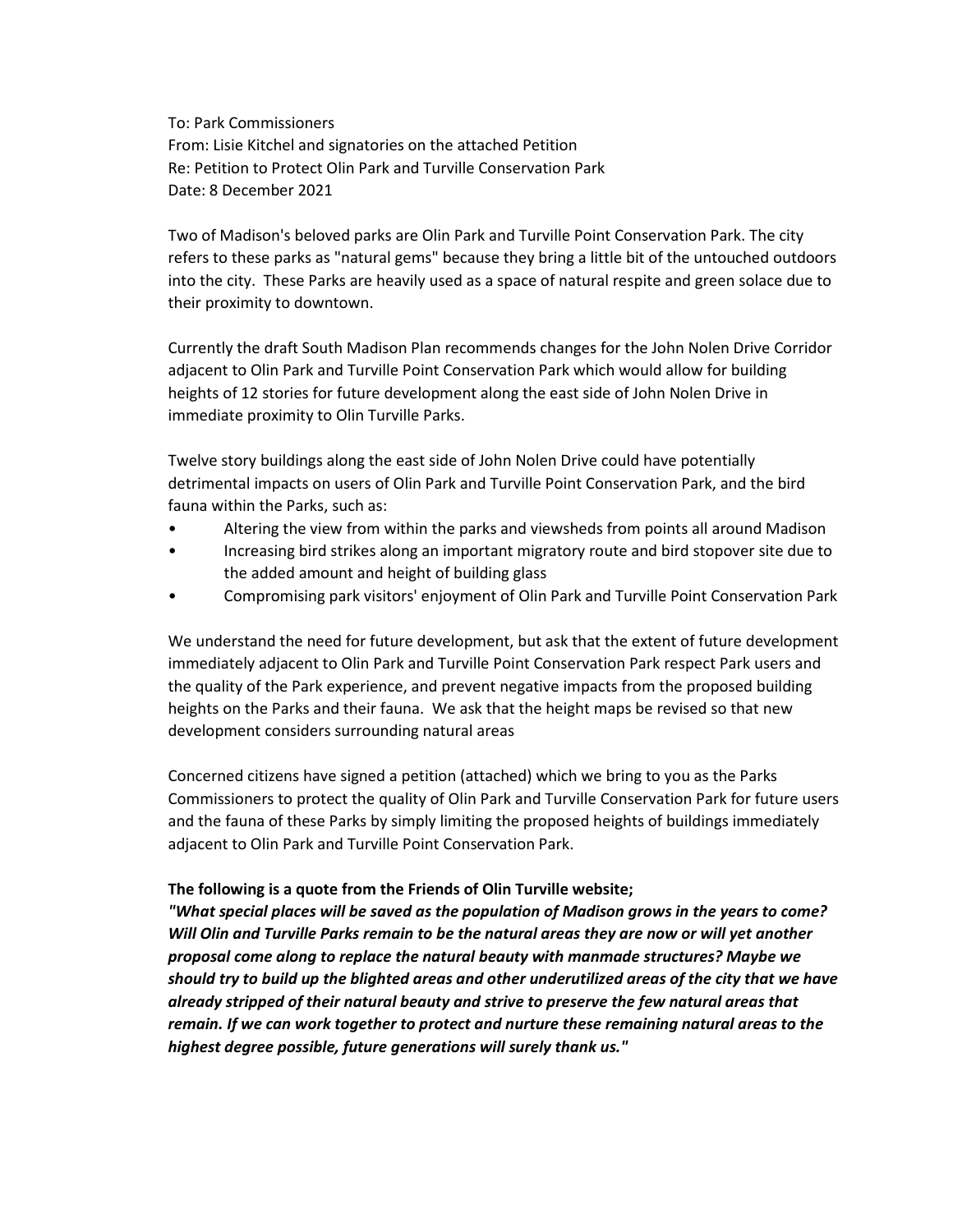To: Park Commissioners From: Lisie Kitchel and signatories on the attached Petition Re: Petition to Protect Olin Park and Turville Conservation Park Date: 8 December 2021

Two of Madison's beloved parks are Olin Park and Turville Point Conservation Park. The city refers to these parks as "natural gems" because they bring a little bit of the untouched outdoors into the city. These Parks are heavily used as a space of natural respite and green solace due to their proximity to downtown.

Currently the draft South Madison Plan recommends changes for the John Nolen Drive Corridor adjacent to Olin Park and Turville Point Conservation Park which would allow for building heights of 12 stories for future development along the east side of John Nolen Drive in immediate proximity to Olin Turville Parks.

Twelve story buildings along the east side of John Nolen Drive could have potentially detrimental impacts on users of Olin Park and Turville Point Conservation Park, and the bird fauna within the Parks, such as:

- Altering the view from within the parks and viewsheds from points all around Madison
- Increasing bird strikes along an important migratory route and bird stopover site due to the added amount and height of building glass
- Compromising park visitors' enjoyment of Olin Park and Turville Point Conservation Park

We understand the need for future development, but ask that the extent of future development immediately adjacent to Olin Park and Turville Point Conservation Park respect Park users and the quality of the Park experience, and prevent negative impacts from the proposed building heights on the Parks and their fauna. We ask that the height maps be revised so that new development considers surrounding natural areas

Concerned citizens have signed a petition (attached) which we bring to you as the Parks Commissioners to protect the quality of Olin Park and Turville Conservation Park for future users and the fauna of these Parks by simply limiting the proposed heights of buildings immediately adjacent to Olin Park and Turville Point Conservation Park.

## **The following is a quote from the Friends of Olin Turville website;**

*"What special places will be saved as the population of Madison grows in the years to come? Will Olin and Turville Parks remain to be the natural areas they are now or will yet another proposal come along to replace the natural beauty with manmade structures? Maybe we should try to build up the blighted areas and other underutilized areas of the city that we have already stripped of their natural beauty and strive to preserve the few natural areas that remain. If we can work together to protect and nurture these remaining natural areas to the highest degree possible, future generations will surely thank us."*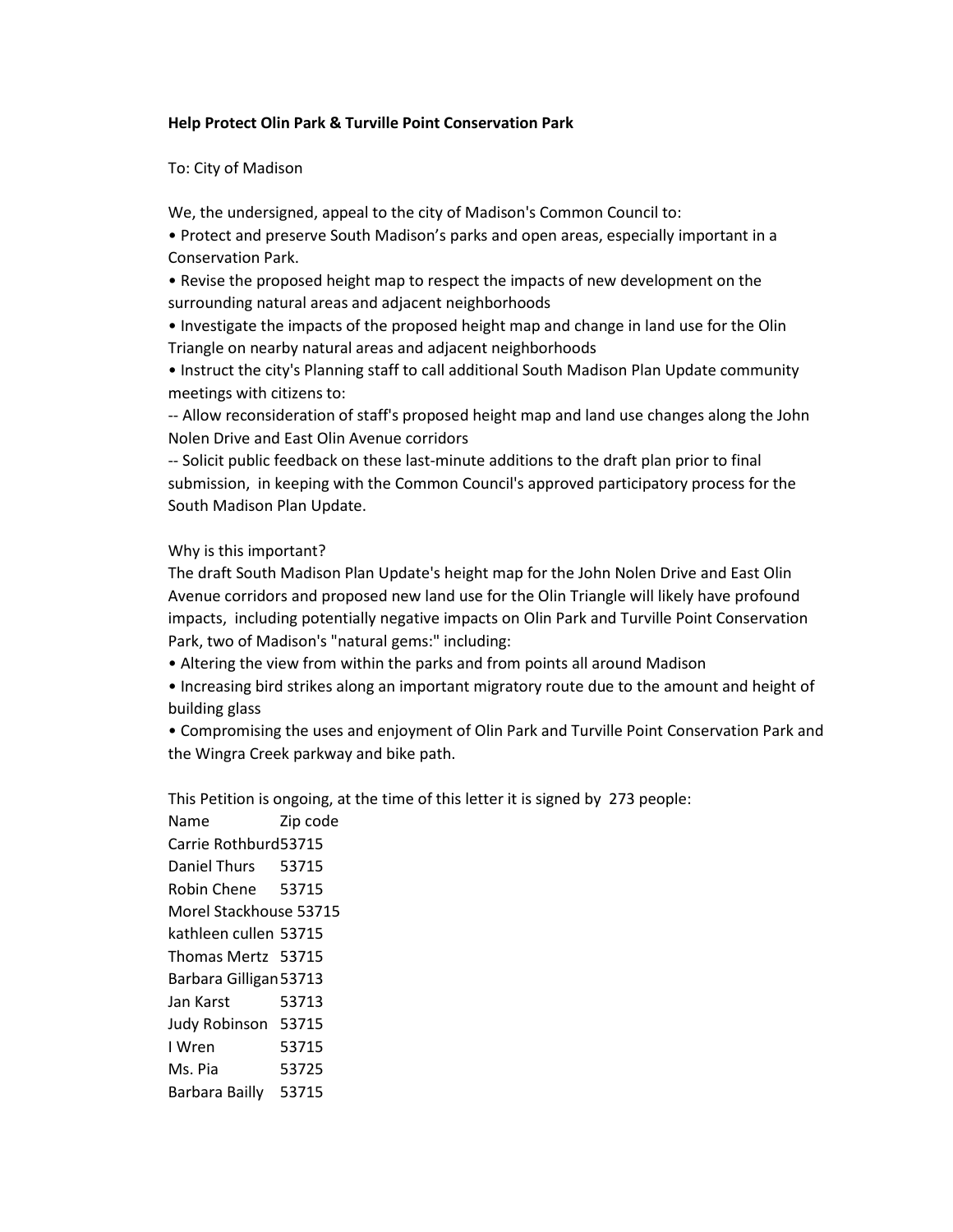## **Help Protect Olin Park & Turville Point Conservation Park**

To: City of Madison

We, the undersigned, appeal to the city of Madison's Common Council to:

• Protect and preserve South Madison's parks and open areas, especially important in a Conservation Park.

• Revise the proposed height map to respect the impacts of new development on the surrounding natural areas and adjacent neighborhoods

• Investigate the impacts of the proposed height map and change in land use for the Olin Triangle on nearby natural areas and adjacent neighborhoods

• Instruct the city's Planning staff to call additional South Madison Plan Update community meetings with citizens to:

-- Allow reconsideration of staff's proposed height map and land use changes along the John Nolen Drive and East Olin Avenue corridors

-- Solicit public feedback on these last-minute additions to the draft plan prior to final submission, in keeping with the Common Council's approved participatory process for the South Madison Plan Update.

Why is this important?

The draft South Madison Plan Update's height map for the John Nolen Drive and East Olin Avenue corridors and proposed new land use for the Olin Triangle will likely have profound impacts, including potentially negative impacts on Olin Park and Turville Point Conservation Park, two of Madison's "natural gems:" including:

• Altering the view from within the parks and from points all around Madison

• Increasing bird strikes along an important migratory route due to the amount and height of building glass

• Compromising the uses and enjoyment of Olin Park and Turville Point Conservation Park and the Wingra Creek parkway and bike path.

This Petition is ongoing, at the time of this letter it is signed by 273 people:

Name Zip code Carrie Rothburd53715 Daniel Thurs 53715 Robin Chene 53715 Morel Stackhouse 53715 kathleen cullen 53715 Thomas Mertz 53715 Barbara Gilligan53713 Jan Karst 53713 Judy Robinson 53715 I Wren 53715 Ms. Pia 53725 Barbara Bailly 53715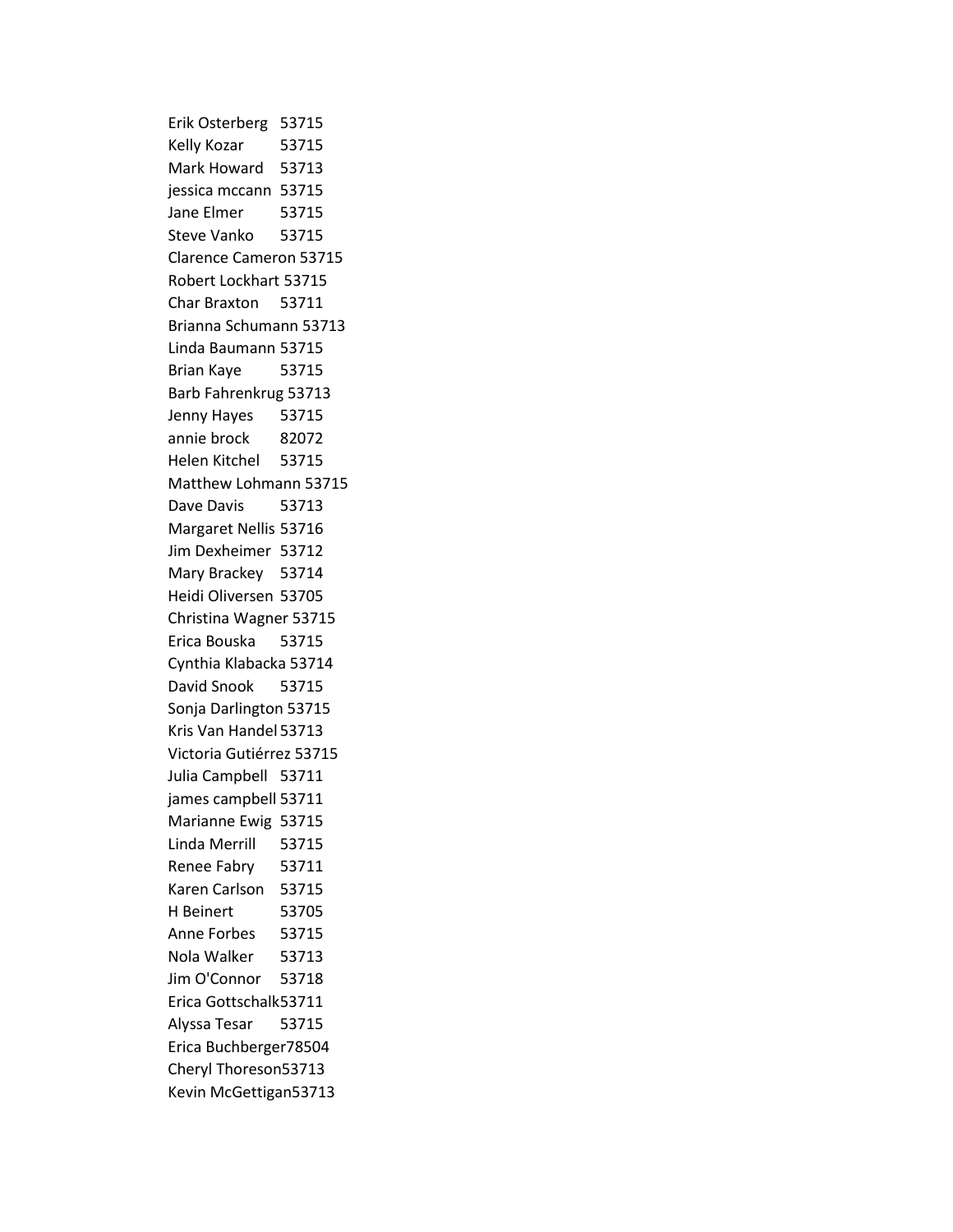Erik Osterberg 53715 Kelly Kozar 53715 Mark Howard 53713 jessica mccann 53715 Jane Elmer 53715 Steve Vanko 53715 Clarence Cameron 53715 Robert Lockhart 53715 Char Braxton 53711 Brianna Schumann 53713 Linda Baumann 53715 Brian Kaye 53715 Barb Fahrenkrug 53713 Jenny Hayes 53715 annie brock 82072 Helen Kitchel 53715 Matthew Lohmann 53715 Dave Davis 53713 Margaret Nellis 53716 Jim Dexheimer 53712 Mary Brackey 53714 Heidi Oliversen 53705 Christina Wagner 53715 Erica Bouska 53715 Cynthia Klabacka 53714 David Snook 53715 Sonja Darlington 53715 Kris Van Handel 53713 Victoria Gutiérrez 53715 Julia Campbell 53711 james campbell 53711 Marianne Ewig 53715 Linda Merrill 53715 Renee Fabry 53711 Karen Carlson 53715 H Beinert 53705 Anne Forbes 53715 Nola Walker 53713 Jim O'Connor 53718 Erica Gottschalk53711 Alyssa Tesar 53715 Erica Buchberger78504 Cheryl Thoreson53713 Kevin McGettigan53713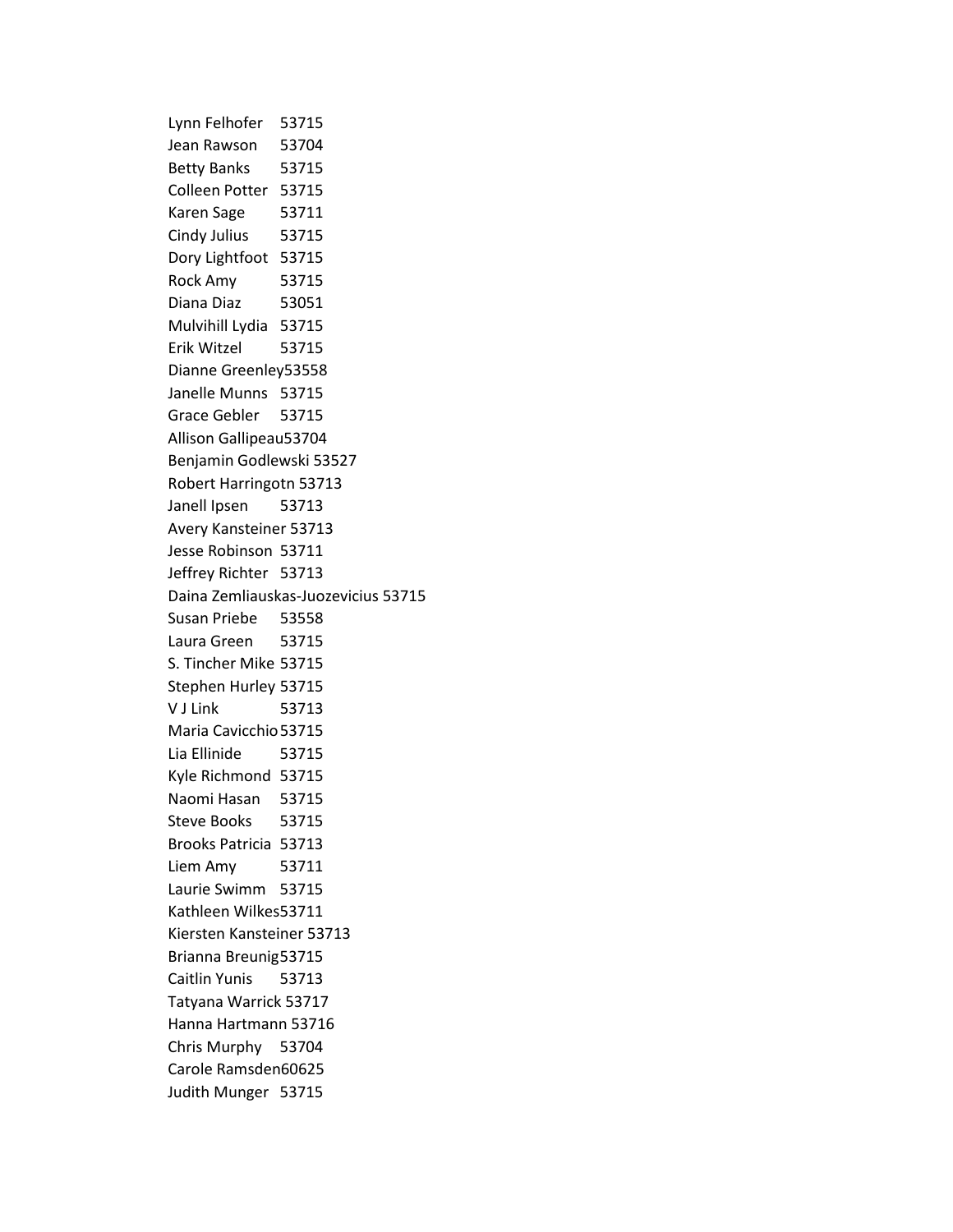Lynn Felhofer 53715 Jean Rawson 53704 Betty Banks 53715 Colleen Potter 53715 Karen Sage 53711 Cindy Julius 53715 Dory Lightfoot 53715 Rock Amy 53715 Diana Diaz 53051 Mulvihill Lydia 53715 Erik Witzel 53715 Dianne Greenley53558 Janelle Munns 53715 Grace Gebler 53715 Allison Gallipeau53704 Benjamin Godlewski 53527 Robert Harringotn 53713 Janell Ipsen 53713 Avery Kansteiner 53713 Jesse Robinson 53711 Jeffrey Richter 53713 Daina Zemliauskas-Juozevicius 53715 Susan Priebe 53558 Laura Green 53715 S. Tincher Mike 53715 Stephen Hurley 53715 V J Link 53713 Maria Cavicchio53715 Lia Ellinide 53715 Kyle Richmond 53715 Naomi Hasan 53715 Steve Books 53715 Brooks Patricia 53713 Liem Amy 53711 Laurie Swimm 53715 Kathleen Wilkes53711 Kiersten Kansteiner 53713 Brianna Breunig53715 Caitlin Yunis 53713 Tatyana Warrick 53717 Hanna Hartmann 53716 Chris Murphy 53704 Carole Ramsden60625 Judith Munger 53715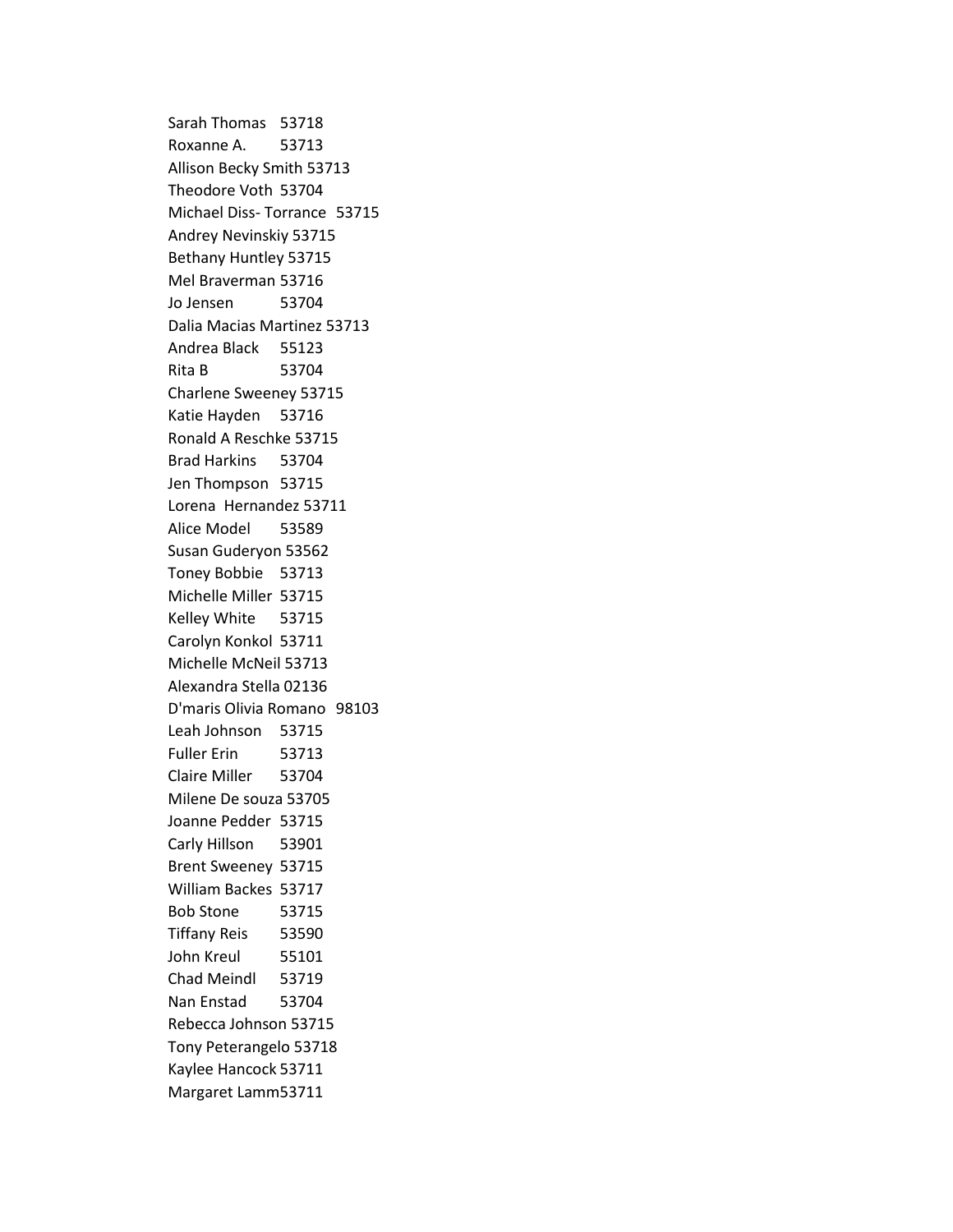Sarah Thomas 53718 Roxanne A. 53713 Allison Becky Smith 53713 Theodore Voth 53704 Michael Diss- Torrance 53715 Andrey Nevinskiy 53715 Bethany Huntley 53715 Mel Braverman 53716 Jo Jensen 53704 Dalia Macias Martinez 53713 Andrea Black 55123 Rita B 53704 Charlene Sweeney 53715 Katie Hayden 53716 Ronald A Reschke 53715 Brad Harkins 53704 Jen Thompson 53715 Lorena Hernandez 53711 Alice Model 53589 Susan Guderyon 53562 Toney Bobbie 53713 Michelle Miller 53715 Kelley White 53715 Carolyn Konkol 53711 Michelle McNeil 53713 Alexandra Stella 02136 D'maris Olivia Romano 98103 Leah Johnson 53715 Fuller Erin 53713 Claire Miller 53704 Milene De souza 53705 Joanne Pedder 53715 Carly Hillson 53901 Brent Sweeney 53715 William Backes 53717 Bob Stone 53715 Tiffany Reis 53590 John Kreul 55101 Chad Meindl 53719 Nan Enstad 53704 Rebecca Johnson 53715 Tony Peterangelo 53718 Kaylee Hancock 53711 Margaret Lamm53711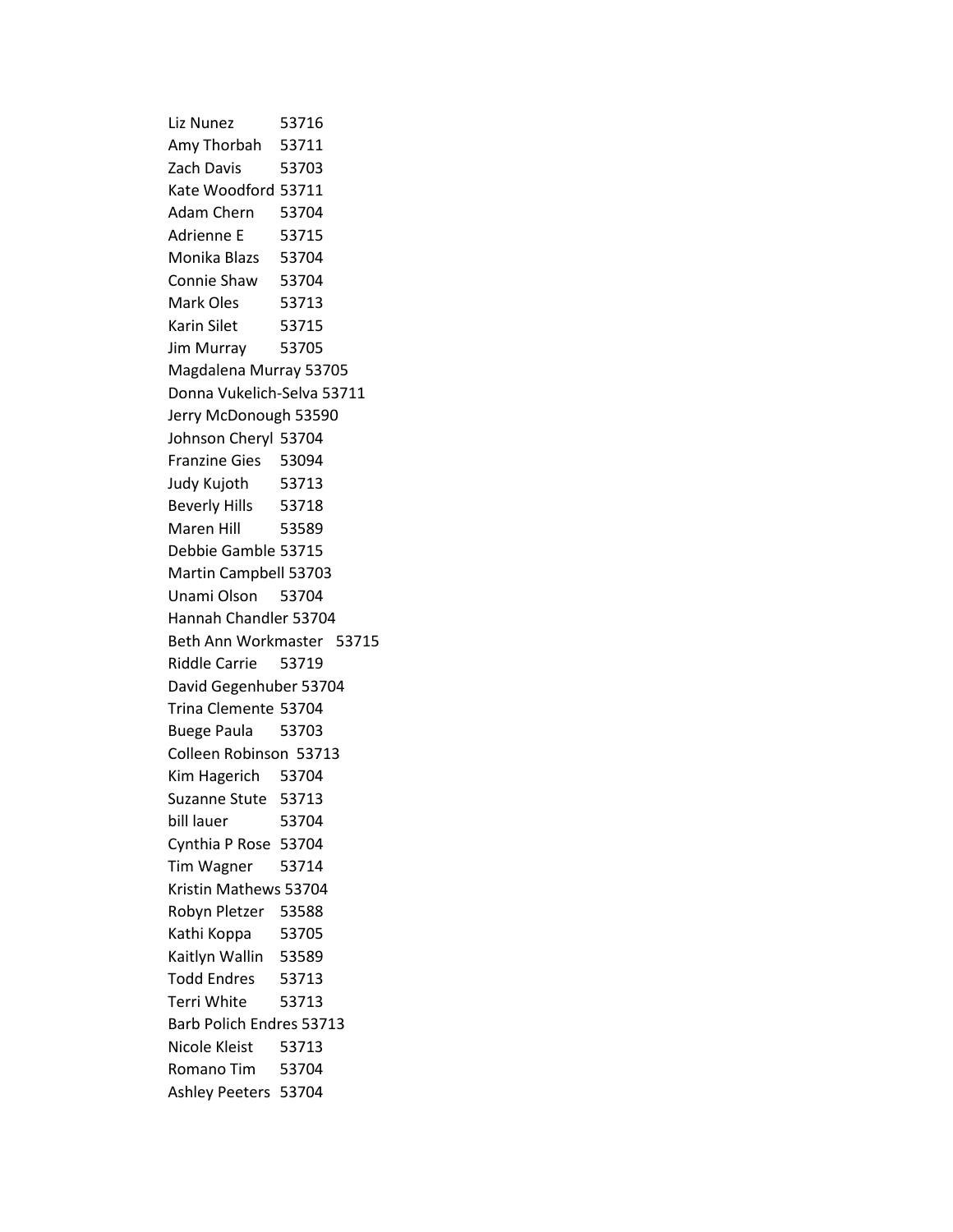Liz Nunez 53716 Amy Thorbah 53711 Zach Davis 53703 Kate Woodford 53711 Adam Chern 53704 Adrienne E 53715 Monika Blazs 53704 Connie Shaw 53704 Mark Oles 53713 Karin Silet 53715 Jim Murray 53705 Magdalena Murray 53705 Donna Vukelich-Selva 53711 Jerry McDonough 53590 Johnson Cheryl 53704 Franzine Gies 53094 Judy Kujoth 53713 Beverly Hills 53718 Maren Hill 53589 Debbie Gamble 53715 Martin Campbell 53703 Unami Olson 53704 Hannah Chandler 53704 Beth Ann Workmaster 53715 Riddle Carrie 53719 David Gegenhuber 53704 Trina Clemente 53704 Buege Paula 53703 Colleen Robinson 53713 Kim Hagerich 53704 Suzanne Stute 53713 bill lauer 53704 Cynthia P Rose 53704 Tim Wagner 53714 Kristin Mathews 53704 Robyn Pletzer 53588 Kathi Koppa 53705 Kaitlyn Wallin 53589 Todd Endres 53713 Terri White 53713 Barb Polich Endres 53713 Nicole Kleist 53713 Romano Tim 53704 Ashley Peeters 53704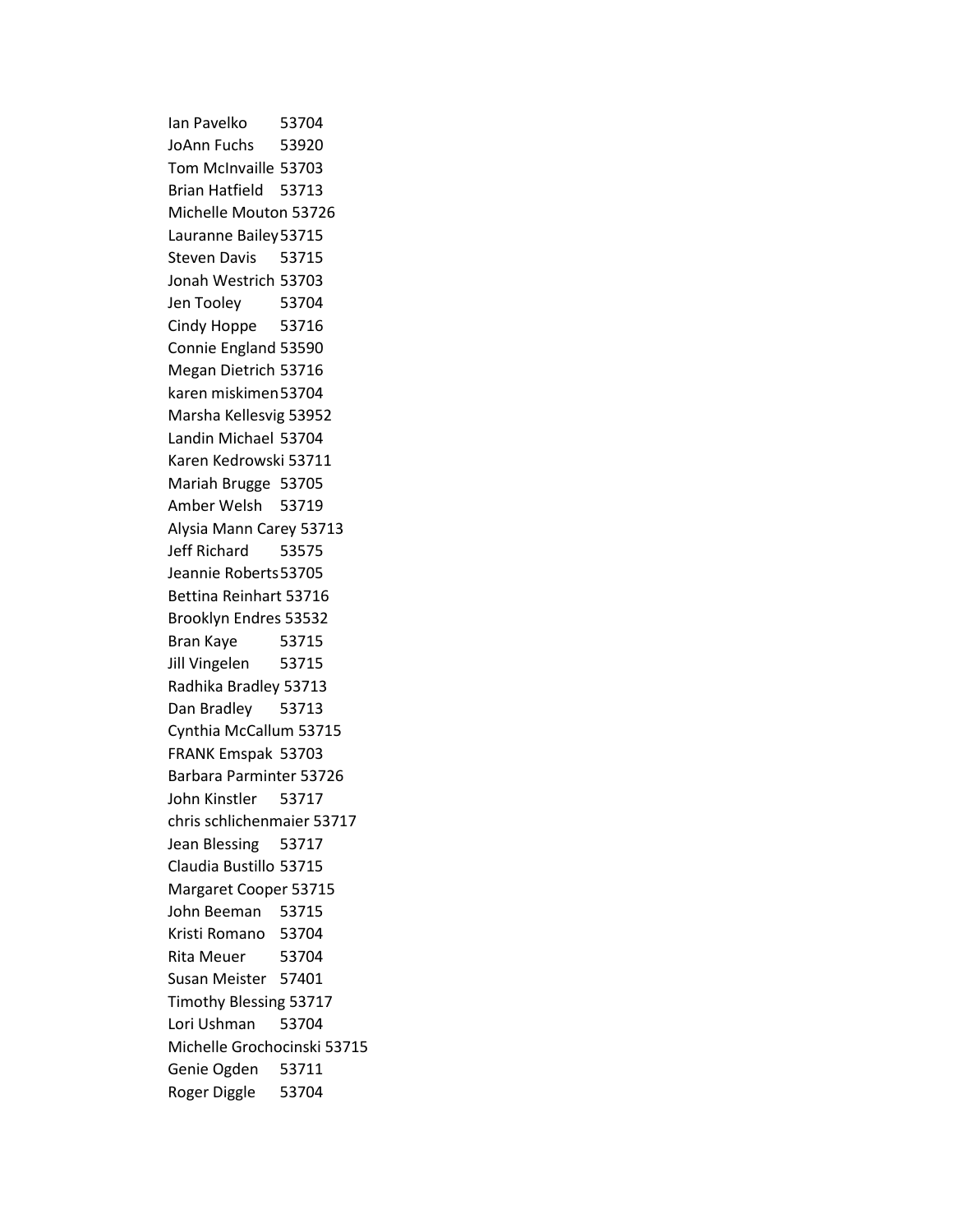Ian Pavelko 53704 JoAnn Fuchs 53920 Tom McInvaille 53703 Brian Hatfield 53713 Michelle Mouton 53726 Lauranne Bailey53715 Steven Davis 53715 Jonah Westrich 53703 Jen Tooley 53704 Cindy Hoppe 53716 Connie England 53590 Megan Dietrich 53716 karen miskimen53704 Marsha Kellesvig 53952 Landin Michael 53704 Karen Kedrowski 53711 Mariah Brugge 53705 Amber Welsh 53719 Alysia Mann Carey 53713 Jeff Richard 53575 Jeannie Roberts53705 Bettina Reinhart 53716 Brooklyn Endres 53532 Bran Kaye 53715 Jill Vingelen 53715 Radhika Bradley 53713 Dan Bradley 53713 Cynthia McCallum 53715 FRANK Emspak 53703 Barbara Parminter 53726 John Kinstler 53717 chris schlichenmaier 53717 Jean Blessing 53717 Claudia Bustillo 53715 Margaret Cooper 53715 John Beeman 53715 Kristi Romano 53704 Rita Meuer 53704 Susan Meister 57401 Timothy Blessing 53717 Lori Ushman 53704 Michelle Grochocinski 53715 Genie Ogden 53711 Roger Diggle 53704